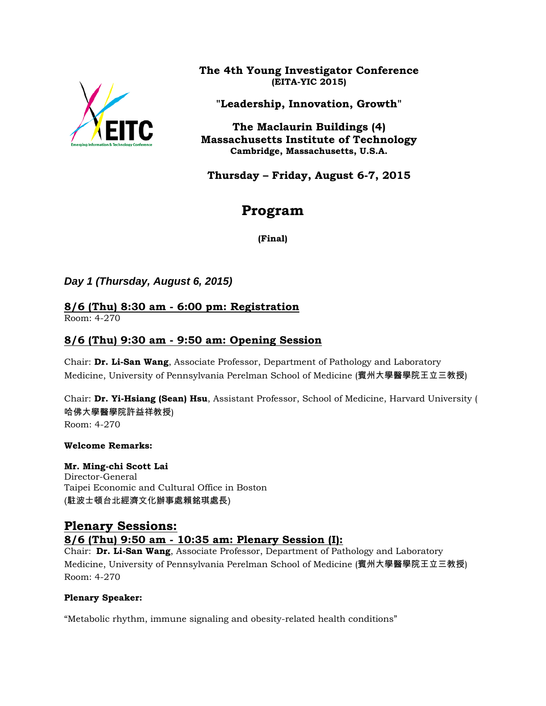

**The 4th Young Investigator Conference (EITA-YIC 2015)**

**"Leadership, Innovation, Growth"**

**The Maclaurin Buildings (4) Massachusetts Institute of Technology Cambridge, Massachusetts, U.S.A.**

**Thursday – Friday, August 6-7, 2015**

# **Program**

**(Final)**

## *Day 1 (Thursday, August 6, 2015)*

# **8/6 (Thu) 8:30 am - 6:00 pm: Registration**

Room: 4-270

## **8/6 (Thu) 9:30 am - 9:50 am: Opening Session**

Chair: **Dr. Li-San Wang**, Associate Professor, Department of Pathology and Laboratory Medicine, University of Pennsylvania Perelman School of Medicine (賓州大學醫學院王立三教授)

Chair: **Dr. Yi-Hsiang (Sean) Hsu**, Assistant Professor, School of Medicine, Harvard University ( 哈佛大學醫學院許益祥教授) Room: 4-270

### **Welcome Remarks:**

**Mr. Ming-chi Scott Lai** Director-General Taipei Economic and Cultural Office in Boston (駐波士頓台北經濟文化辦事處賴銘琪處長)

## **Plenary Sessions: 8/6 (Thu) 9:50 am - 10:35 am: Plenary Session (I):**

Chair: **Dr. Li-San Wang**, Associate Professor, Department of Pathology and Laboratory Medicine, University of Pennsylvania Perelman School of Medicine (賓州大學醫學院王立三教授) Room: 4-270

### **Plenary Speaker:**

"Metabolic rhythm, immune signaling and obesity-related health conditions"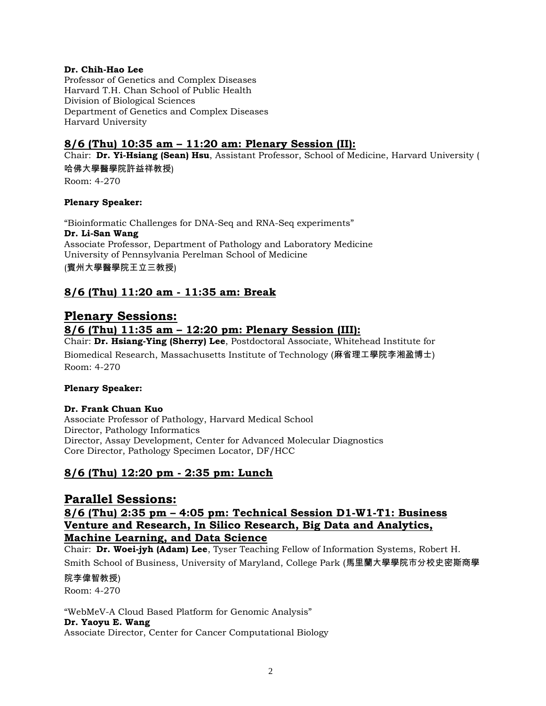#### **Dr. Chih-Hao Lee**

Professor of Genetics and Complex Diseases Harvard T.H. Chan School of Public Health Division of Biological Sciences Department of Genetics and Complex Diseases Harvard University

## **8/6 (Thu) 10:35 am – 11:20 am: Plenary Session (II):**

Chair: **Dr. Yi-Hsiang (Sean) Hsu**, Assistant Professor, School of Medicine, Harvard University ( 哈佛大學醫學院許益祥教授)

Room: 4-270

#### **Plenary Speaker:**

"Bioinformatic Challenges for DNA-Seq and RNA-Seq experiments" **Dr. Li-San Wang** Associate Professor, Department of Pathology and Laboratory Medicine University of Pennsylvania Perelman School of Medicine (賓州大學醫學院王立三教授)

## **8/6 (Thu) 11:20 am - 11:35 am: Break**

## **Plenary Sessions:**

### **8/6 (Thu) 11:35 am – 12:20 pm: Plenary Session (III):**

Chair: **Dr. Hsiang-Ying (Sherry) Lee**, Postdoctoral Associate, Whitehead Institute for Biomedical Research, Massachusetts Institute of Technology (麻省理工學院李湘盈博士) Room: 4-270

#### **Plenary Speaker:**

#### **Dr. Frank Chuan Kuo**

Associate Professor of Pathology, Harvard Medical School Director, Pathology Informatics Director, Assay Development, Center for Advanced Molecular Diagnostics Core Director, Pathology Specimen Locator, DF/HCC

## **8/6 (Thu) 12:20 pm - 2:35 pm: Lunch**

## **Parallel Sessions:**

## **8/6 (Thu) 2:35 pm – 4:05 pm: Technical Session D1-W1-T1: Business Venture and Research, In Silico Research, Big Data and Analytics, Machine Learning, and Data Science**

Chair: **Dr. Woei-jyh (Adam) Lee**, Tyser Teaching Fellow of Information Systems, Robert H. Smith School of Business, University of Maryland, College Park (馬里蘭大學學院市分校史密斯商學

院李偉智教授) Room: 4-270

"WebMeV-A Cloud Based Platform for Genomic Analysis" **Dr. Yaoyu E. Wang** Associate Director, Center for Cancer Computational Biology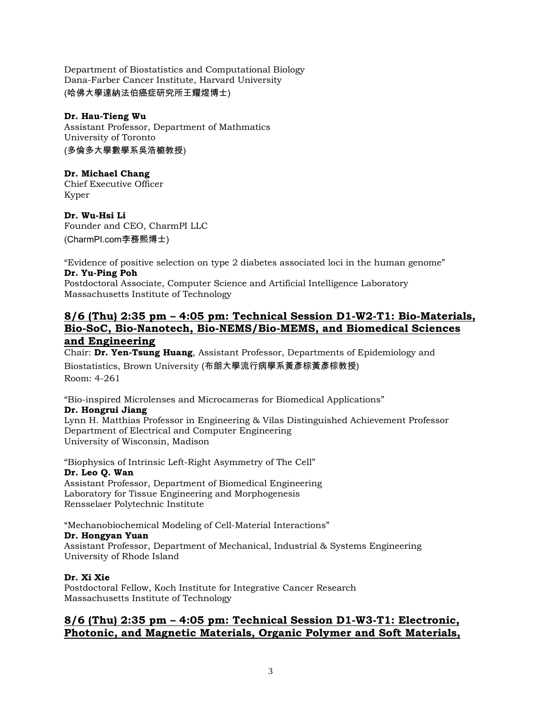Department of Biostatistics and Computational Biology Dana-Farber Cancer Institute, Harvard University (哈佛大學達納法伯癌症研究所王耀煜博士)

#### **Dr. Hau-Tieng Wu**

Assistant Professor, Department of Mathmatics University of Toronto (多倫多大學數學系吳浩榳教授)

#### **Dr. Michael Chang**

Chief Executive Officer Kyper

**Dr. Wu-Hsi Li** Founder and CEO, CharmPI LLC (CharmPI.com李務熙博士)

"Evidence of positive selection on type 2 diabetes associated loci in the human genome" **Dr. Yu-Ping Poh**

Postdoctoral Associate, Computer Science and Artificial Intelligence Laboratory Massachusetts Institute of Technology

## **8/6 (Thu) 2:35 pm – 4:05 pm: Technical Session D1-W2-T1: Bio-Materials, Bio-SoC, Bio-Nanotech, Bio-NEMS/Bio-MEMS, and Biomedical Sciences and Engineering**

Chair: **Dr. Yen-Tsung Huang**, Assistant Professor, Departments of Epidemiology and Biostatistics, Brown University (布朗大學流行病學系黃彥棕黃彥棕教授) Room: 4-261

"Bio-inspired Microlenses and Microcameras for Biomedical Applications"

#### **Dr. Hongrui Jiang**

Lynn H. Matthias Professor in Engineering & Vilas Distinguished Achievement Professor Department of Electrical and Computer Engineering University of Wisconsin, Madison

"Biophysics of Intrinsic Left-Right Asymmetry of The Cell" **Dr. Leo Q. Wan** Assistant Professor, Department of Biomedical Engineering Laboratory for Tissue Engineering and Morphogenesis Rensselaer Polytechnic Institute

"Mechanobiochemical Modeling of Cell-Material Interactions"

#### **Dr. Hongyan Yuan**

Assistant Professor, Department of Mechanical, Industrial & Systems Engineering University of Rhode Island

#### **Dr. Xi Xie**

Postdoctoral Fellow, Koch Institute for Integrative Cancer Research Massachusetts Institute of Technology

## **8/6 (Thu) 2:35 pm – 4:05 pm: Technical Session D1-W3-T1: Electronic, Photonic, and Magnetic Materials, Organic Polymer and Soft Materials,**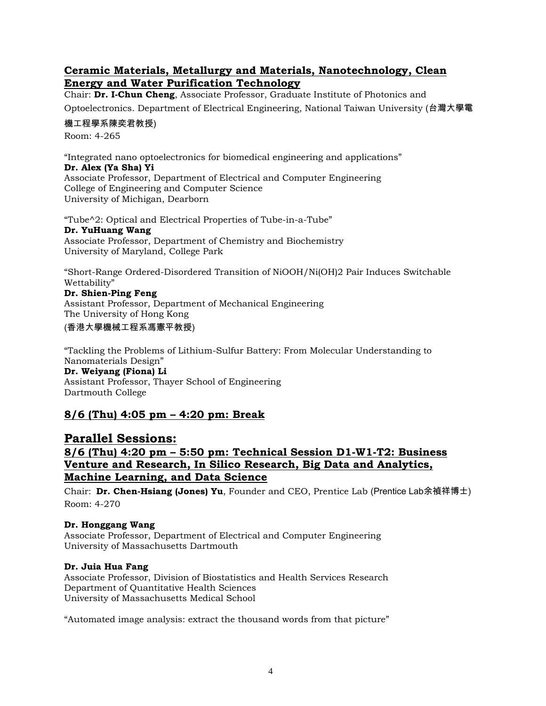## **Ceramic Materials, Metallurgy and Materials, Nanotechnology, Clean Energy and Water Purification Technology**

Chair: **Dr. I-Chun Cheng**, Associate Professor, Graduate Institute of Photonics and

Optoelectronics. Department of Electrical Engineering, National Taiwan University (台灣大學電

#### 機工程學系陳奕君教授)

Room: 4-265

"Integrated nano optoelectronics for biomedical engineering and applications"

#### **Dr. Alex (Ya Sha) Yi**

Associate Professor, Department of Electrical and Computer Engineering College of Engineering and Computer Science University of Michigan, Dearborn

"Tube^2: Optical and Electrical Properties of Tube-in-a-Tube"

#### **Dr. YuHuang Wang**

Associate Professor, Department of Chemistry and Biochemistry University of Maryland, College Park

"Short-Range Ordered-Disordered Transition of NiOOH/Ni(OH)2 Pair Induces Switchable Wettability"

**Dr. Shien-Ping Feng** Assistant Professor, Department of Mechanical Engineering The University of Hong Kong

(香港大學機械工程系馮憲平教授)

"Tackling the Problems of Lithium-Sulfur Battery: From Molecular Understanding to Nanomaterials Design" **Dr. Weiyang (Fiona) Li** Assistant Professor, Thayer School of Engineering Dartmouth College

## **8/6 (Thu) 4:05 pm – 4:20 pm: Break**

**Parallel Sessions: 8/6 (Thu) 4:20 pm – 5:50 pm: Technical Session D1-W1-T2: Business Venture and Research, In Silico Research, Big Data and Analytics, Machine Learning, and Data Science**

Chair: **Dr. Chen-Hsiang (Jones) Yu**, Founder and CEO, Prentice Lab (Prentice Lab余禎祥博士) Room: 4-270

### **Dr. Honggang Wang**

Associate Professor, Department of Electrical and Computer Engineering University of Massachusetts Dartmouth

#### **Dr. Juia Hua Fang**

Associate Professor, Division of Biostatistics and Health Services Research Department of Quantitative Health Sciences University of Massachusetts Medical School

"Automated image analysis: extract the thousand words from that picture"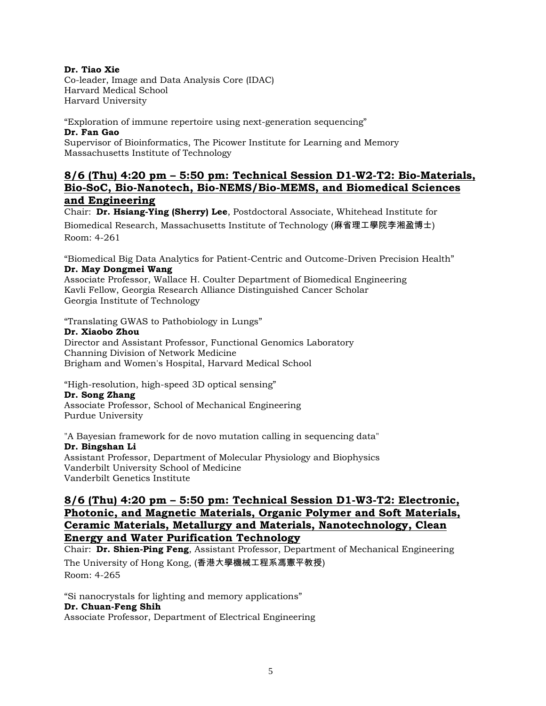#### **Dr. Tiao Xie**

Co-leader, Image and Data Analysis Core (IDAC) Harvard Medical School Harvard University

"Exploration of immune repertoire using next-generation sequencing" **Dr. Fan Gao**

Supervisor of Bioinformatics, The Picower Institute for Learning and Memory Massachusetts Institute of Technology

### **8/6 (Thu) 4:20 pm – 5:50 pm: Technical Session D1-W2-T2: Bio-Materials, Bio-SoC, Bio-Nanotech, Bio-NEMS/Bio-MEMS, and Biomedical Sciences and Engineering**

Chair: **Dr. Hsiang-Ying (Sherry) Lee**, Postdoctoral Associate, Whitehead Institute for Biomedical Research, Massachusetts Institute of Technology (麻省理工學院李湘盈博士) Room: 4-261

"Biomedical Big Data Analytics for Patient-Centric and Outcome-Driven Precision Health" **Dr. May Dongmei Wang**

Associate Professor, Wallace H. Coulter Department of Biomedical Engineering Kavli Fellow, Georgia Research Alliance Distinguished Cancer Scholar Georgia Institute of Technology

"Translating GWAS to Pathobiology in Lungs"

#### **Dr. Xiaobo Zhou**

Director and Assistant Professor, Functional Genomics Laboratory Channing Division of Network Medicine Brigham and Women's Hospital, Harvard Medical School

"High-resolution, high-speed 3D optical sensing"

#### **Dr. Song Zhang**

Associate Professor, School of Mechanical Engineering Purdue University

"A Bayesian framework for de novo mutation calling in sequencing data" **Dr. Bingshan Li** Assistant Professor, Department of Molecular Physiology and Biophysics Vanderbilt University School of Medicine

Vanderbilt Genetics Institute

## **8/6 (Thu) 4:20 pm – 5:50 pm: Technical Session D1-W3-T2: Electronic, Photonic, and Magnetic Materials, Organic Polymer and Soft Materials, Ceramic Materials, Metallurgy and Materials, Nanotechnology, Clean Energy and Water Purification Technology**

Chair: **Dr. Shien-Ping Feng**, Assistant Professor, Department of Mechanical Engineering The University of Hong Kong, (香港大學機械工程系馮憲平教授) Room: 4-265

"Si nanocrystals for lighting and memory applications" **Dr. Chuan-Feng Shih**

Associate Professor, Department of Electrical Engineering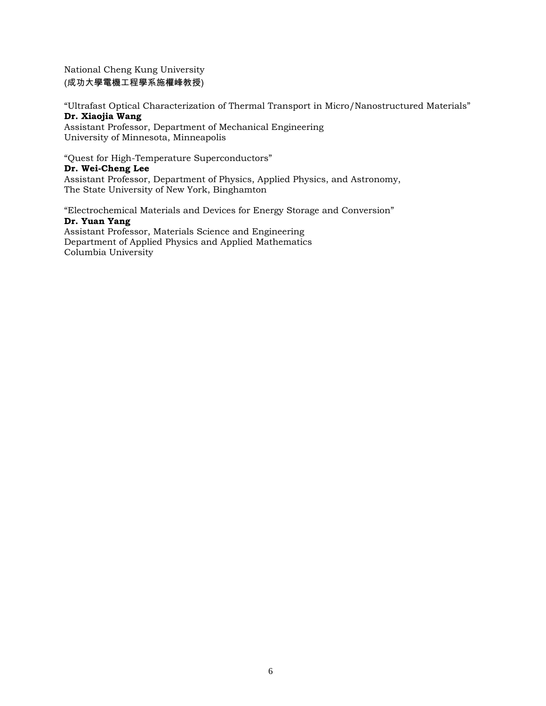National Cheng Kung University (成功大學電機工程學系施權峰教授)

"Ultrafast Optical Characterization of Thermal Transport in Micro/Nanostructured Materials" **Dr. Xiaojia Wang**

Assistant Professor, Department of Mechanical Engineering University of Minnesota, Minneapolis

"Quest for High-Temperature Superconductors"

#### **Dr. Wei-Cheng Lee**

Assistant Professor, Department of Physics, Applied Physics, and Astronomy, The State University of New York, Binghamton

"Electrochemical Materials and Devices for Energy Storage and Conversion" **Dr. Yuan Yang** Assistant Professor, Materials Science and Engineering Department of Applied Physics and Applied Mathematics Columbia University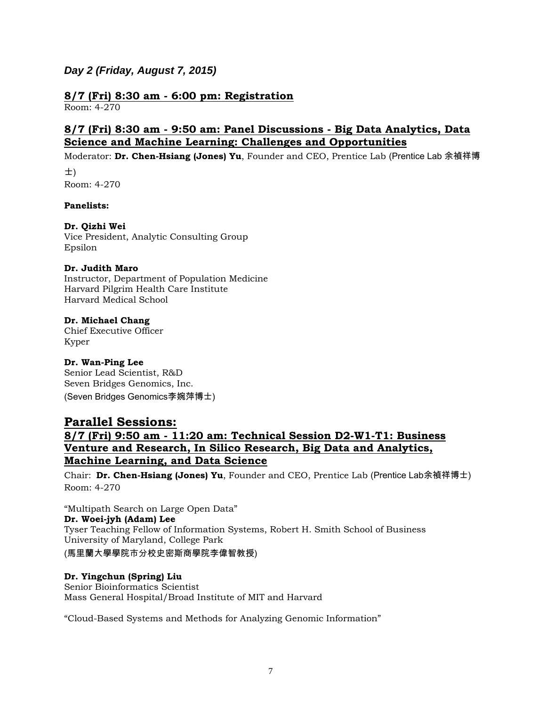## *Day 2 (Friday, August 7, 2015)*

#### **8/7 (Fri) 8:30 am - 6:00 pm: Registration**  Room: 4-270

## **8/7 (Fri) 8:30 am - 9:50 am: Panel Discussions - Big Data Analytics, Data Science and Machine Learning: Challenges and Opportunities**

Moderator: **Dr. Chen-Hsiang (Jones) Yu**, Founder and CEO, Prentice Lab (Prentice Lab 余禎祥博

士) Room: 4-270

### **Panelists:**

### **Dr. Qizhi Wei**

Vice President, Analytic Consulting Group Epsilon

#### **Dr. Judith Maro**

Instructor, Department of Population Medicine Harvard Pilgrim Health Care Institute Harvard Medical School

### **Dr. Michael Chang**

Chief Executive Officer Kyper

### **Dr. Wan-Ping Lee**

Senior Lead Scientist, R&D Seven Bridges Genomics, Inc. (Seven Bridges Genomics李婉萍博士)

## **Parallel Sessions:**

## **8/7 (Fri) 9:50 am - 11:20 am: Technical Session D2-W1-T1: Business Venture and Research, In Silico Research, Big Data and Analytics, Machine Learning, and Data Science**

Chair: **Dr. Chen-Hsiang (Jones) Yu**, Founder and CEO, Prentice Lab (Prentice Lab余禎祥博士) Room: 4-270

"Multipath Search on Large Open Data" **Dr. Woei-jyh (Adam) Lee** Tyser Teaching Fellow of Information Systems, Robert H. Smith School of Business University of Maryland, College Park (馬里蘭大學學院市分校史密斯商學院李偉智教授)

#### **Dr. Yingchun (Spring) Liu**

Senior Bioinformatics Scientist Mass General Hospital/Broad Institute of MIT and Harvard

"Cloud-Based Systems and Methods for Analyzing Genomic Information"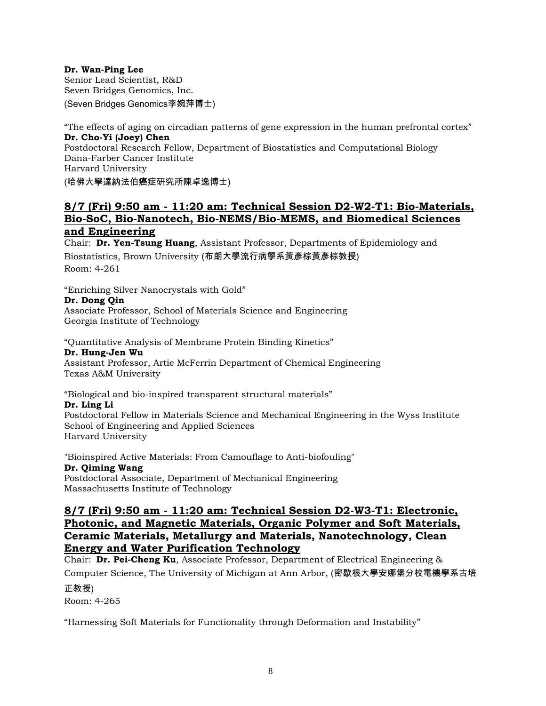#### **Dr. Wan-Ping Lee**

Senior Lead Scientist, R&D Seven Bridges Genomics, Inc. (Seven Bridges Genomics李婉萍博士)

"The effects of aging on circadian patterns of gene expression in the human prefrontal cortex" **Dr. Cho-Yi (Joey) Chen** Postdoctoral Research Fellow, Department of Biostatistics and Computational Biology Dana-Farber Cancer Institute Harvard University

(哈佛大學達納法伯癌症研究所陳卓逸博士)

## **8/7 (Fri) 9:50 am - 11:20 am: Technical Session D2-W2-T1: Bio-Materials, Bio-SoC, Bio-Nanotech, Bio-NEMS/Bio-MEMS, and Biomedical Sciences and Engineering**

Chair: **Dr. Yen-Tsung Huang**, Assistant Professor, Departments of Epidemiology and Biostatistics, Brown University (布朗大學流行病學系黃彥棕黃彥棕教授) Room: 4-261

"Enriching Silver Nanocrystals with Gold"

#### **Dr. Dong Qin**

Associate Professor, School of Materials Science and Engineering Georgia Institute of Technology

"Quantitative Analysis of Membrane Protein Binding Kinetics"

#### **Dr. Hung-Jen Wu**

Assistant Professor, Artie McFerrin Department of Chemical Engineering Texas A&M University

#### "Biological and bio-inspired transparent structural materials"

#### **Dr. Ling Li**

Postdoctoral Fellow in Materials Science and Mechanical Engineering in the Wyss Institute School of Engineering and Applied Sciences Harvard University

"Bioinspired Active Materials: From Camouflage to Anti-biofouling" **Dr. Qiming Wang** Postdoctoral Associate, Department of Mechanical Engineering Massachusetts Institute of Technology

## **8/7 (Fri) 9:50 am - 11:20 am: Technical Session D2-W3-T1: Electronic, Photonic, and Magnetic Materials, Organic Polymer and Soft Materials, Ceramic Materials, Metallurgy and Materials, Nanotechnology, Clean Energy and Water Purification Technology**

Chair: **Dr. Pei-Cheng Ku**, Associate Professor, Department of Electrical Engineering &

Computer Science, The University of Michigan at Ann Arbor, (密歇根大學安娜堡分校電機學系古培 正教授)

Room: 4-265

"Harnessing Soft Materials for Functionality through Deformation and Instability"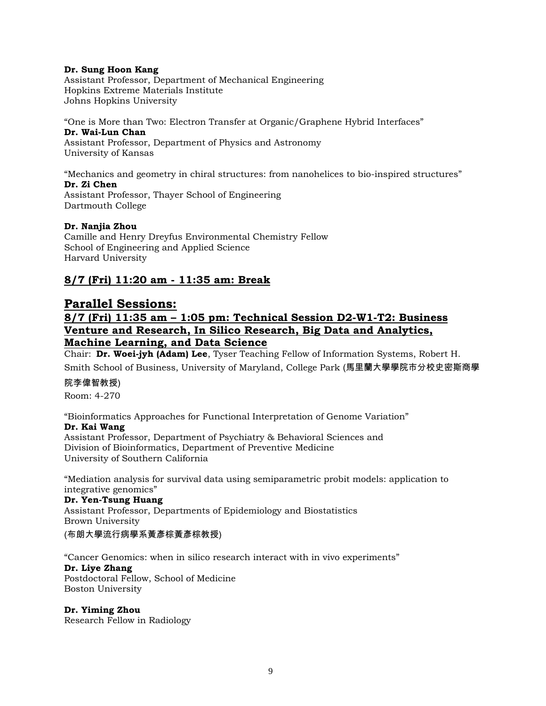#### **Dr. Sung Hoon Kang**

Assistant Professor, Department of Mechanical Engineering Hopkins Extreme Materials Institute Johns Hopkins University

"One is More than Two: Electron Transfer at Organic/Graphene Hybrid Interfaces" **Dr. Wai-Lun Chan** Assistant Professor, Department of Physics and Astronomy University of Kansas

"Mechanics and geometry in chiral structures: from nanohelices to bio-inspired structures" **Dr. Zi Chen** Assistant Professor, Thayer School of Engineering Dartmouth College

#### **Dr. Nanjia Zhou**

Camille and Henry Dreyfus Environmental Chemistry Fellow School of Engineering and Applied Science Harvard University

### **8/7 (Fri) 11:20 am - 11:35 am: Break**

## **Parallel Sessions:**

## **8/7 (Fri) 11:35 am – 1:05 pm: Technical Session D2-W1-T2: Business Venture and Research, In Silico Research, Big Data and Analytics, Machine Learning, and Data Science**

Chair: **Dr. Woei-jyh (Adam) Lee**, Tyser Teaching Fellow of Information Systems, Robert H. Smith School of Business, University of Maryland, College Park (馬里蘭大學學院市分校史密斯商學

#### 院李偉智教授)

Room: 4-270

"Bioinformatics Approaches for Functional Interpretation of Genome Variation" **Dr. Kai Wang**

Assistant Professor, Department of Psychiatry & Behavioral Sciences and Division of Bioinformatics, Department of Preventive Medicine University of Southern California

"Mediation analysis for survival data using semiparametric probit models: application to integrative genomics"

**Dr. Yen-Tsung Huang** Assistant Professor, Departments of Epidemiology and Biostatistics Brown University

(布朗大學流行病學系黃彥棕黃彥棕教授)

"Cancer Genomics: when in silico research interact with in vivo experiments"

#### **Dr. Liye Zhang**

Postdoctoral Fellow, School of Medicine Boston University

**Dr. Yiming Zhou** Research Fellow in Radiology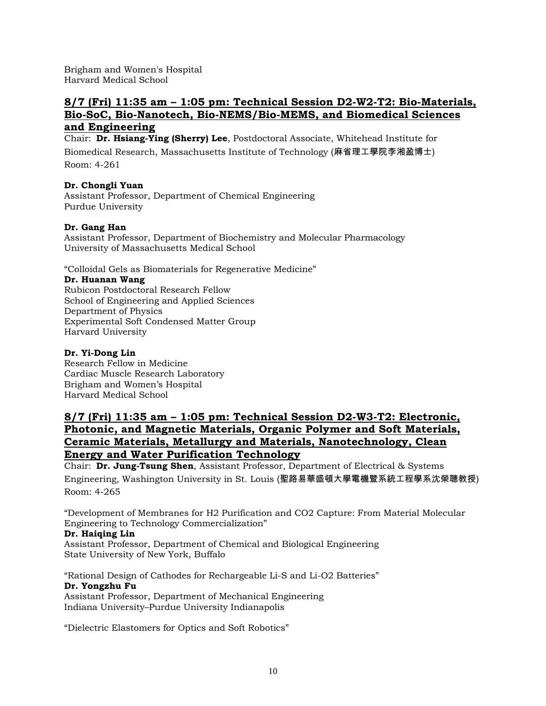Brigham and Women's Hospital Harvard Medical School

## **8/7 (Fri) 11:35 am – 1:05 pm: Technical Session D2-W2-T2: Bio-Materials, Bio-SoC, Bio-Nanotech, Bio-NEMS/Bio-MEMS, and Biomedical Sciences and Engineering**

Chair: **Dr. Hsiang-Ying (Sherry) Lee**, Postdoctoral Associate, Whitehead Institute for Biomedical Research, Massachusetts Institute of Technology (麻省理工學院李湘盈博士) Room: 4-261

#### **Dr. Chongli Yuan**

Assistant Professor, Department of Chemical Engineering Purdue University

#### **Dr. Gang Han**

Assistant Professor, Department of Biochemistry and Molecular Pharmacology University of Massachusetts Medical School

"Colloidal Gels as Biomaterials for Regenerative Medicine"

#### **Dr. Huanan Wang**

Rubicon Postdoctoral Research Fellow School of Engineering and Applied Sciences Department of Physics Experimental Soft Condensed Matter Group Harvard University

#### **Dr. Yi-Dong Lin**

Research Fellow in Medicine Cardiac Muscle Research Laboratory Brigham and Women's Hospital Harvard Medical School

## **8/7 (Fri) 11:35 am – 1:05 pm: Technical Session D2-W3-T2: Electronic, Photonic, and Magnetic Materials, Organic Polymer and Soft Materials, Ceramic Materials, Metallurgy and Materials, Nanotechnology, Clean Energy and Water Purification Technology**

Chair: **Dr. Jung-Tsung Shen**, Assistant Professor, Department of Electrical & Systems Engineering, Washington University in St. Louis (聖路易華盛頓大學電機暨系統工程學系沈榮聰教授) Room: 4-265

"Development of Membranes for H2 Purification and CO2 Capture: From Material Molecular Engineering to Technology Commercialization"

#### **Dr. Haiqing Lin**

Assistant Professor, Department of Chemical and Biological Engineering State University of New York, Buffalo

"Rational Design of Cathodes for Rechargeable Li-S and Li-O2 Batteries" **Dr. Yongzhu Fu** Assistant Professor, Department of Mechanical Engineering

Indiana University–Purdue University Indianapolis

"Dielectric Elastomers for Optics and Soft Robotics"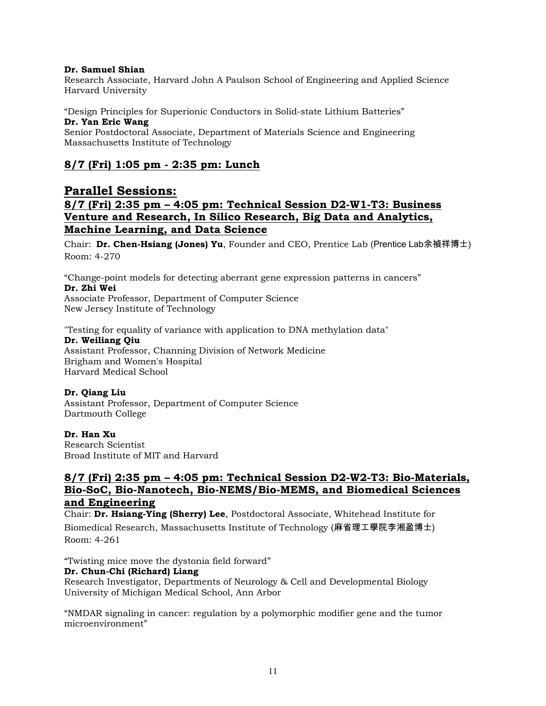#### **Dr. Samuel Shian**

Research Associate, Harvard John A Paulson School of Engineering and Applied Science Harvard University

"Design Principles for Superionic Conductors in Solid-state Lithium Batteries" **Dr. Yan Eric Wang** Senior Postdoctoral Associate, Department of Materials Science and Engineering Massachusetts Institute of Technology

## **8/7 (Fri) 1:05 pm - 2:35 pm: Lunch**

## **Parallel Sessions: 8/7 (Fri) 2:35 pm – 4:05 pm: Technical Session D2-W1-T3: Business Venture and Research, In Silico Research, Big Data and Analytics, Machine Learning, and Data Science**

Chair: **Dr. Chen-Hsiang (Jones) Yu**, Founder and CEO, Prentice Lab (Prentice Lab余禎祥博士) Room: 4-270

"Change-point models for detecting aberrant gene expression patterns in cancers" **Dr. Zhi Wei** Associate Professor, Department of Computer Science

New Jersey Institute of Technology

"Testing for equality of variance with application to DNA methylation data"

#### **Dr. Weiliang Qiu**

Assistant Professor, Channing Division of Network Medicine Brigham and Women's Hospital Harvard Medical School

#### **Dr. Qiang Liu**

Assistant Professor, Department of Computer Science Dartmouth College

#### **Dr. Han Xu**

Research Scientist Broad Institute of MIT and Harvard

## **8/7 (Fri) 2:35 pm – 4:05 pm: Technical Session D2-W2-T3: Bio-Materials, Bio-SoC, Bio-Nanotech, Bio-NEMS/Bio-MEMS, and Biomedical Sciences and Engineering**

Chair: **Dr. Hsiang-Ying (Sherry) Lee**, Postdoctoral Associate, Whitehead Institute for

Biomedical Research, Massachusetts Institute of Technology (麻省理工學院李湘盈博士) Room: 4-261

"Twisting mice move the dystonia field forward"

#### **Dr. Chun-Chi (Richard) Liang**

Research Investigator, Departments of Neurology & Cell and Developmental Biology University of Michigan Medical School, Ann Arbor

"NMDAR signaling in cancer: regulation by a polymorphic modifier gene and the tumor microenvironment"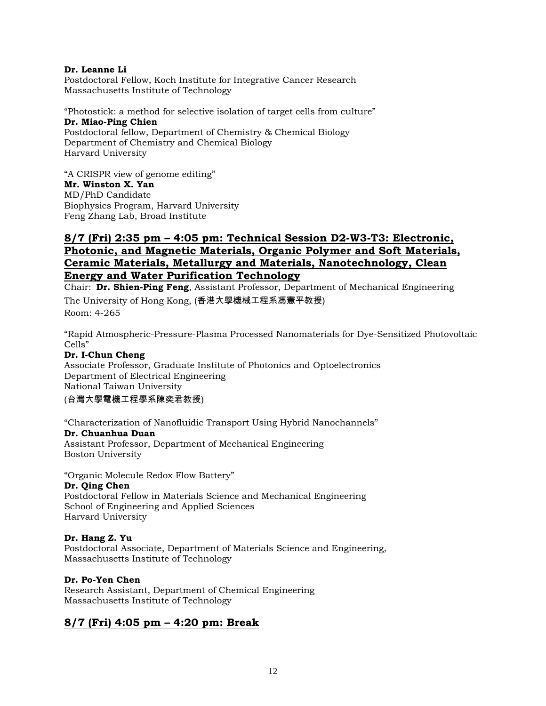#### **Dr. Leanne Li**

Postdoctoral Fellow, Koch Institute for Integrative Cancer Research Massachusetts Institute of Technology

"Photostick: a method for selective isolation of target cells from culture" **Dr. Miao-Ping Chien** Postdoctoral fellow, Department of Chemistry & Chemical Biology Department of Chemistry and Chemical Biology Harvard University

"A CRISPR view of genome editing" **Mr. Winston X. Yan** MD/PhD Candidate Biophysics Program, Harvard University Feng Zhang Lab, Broad Institute

## **8/7 (Fri) 2:35 pm – 4:05 pm: Technical Session D2-W3-T3: Electronic, Photonic, and Magnetic Materials, Organic Polymer and Soft Materials, Ceramic Materials, Metallurgy and Materials, Nanotechnology, Clean Energy and Water Purification Technology**

Chair: **Dr. Shien-Ping Feng**, Assistant Professor, Department of Mechanical Engineering The University of Hong Kong, (香港大學機械工程系馮憲平教授)

Room: 4-265

"Rapid Atmospheric-Pressure-Plasma Processed Nanomaterials for Dye-Sensitized Photovoltaic Cells"

### **Dr. I-Chun Cheng**

Associate Professor, Graduate Institute of Photonics and Optoelectronics Department of Electrical Engineering National Taiwan University

#### (台灣大學電機工程學系陳奕君教授)

"Characterization of Nanofluidic Transport Using Hybrid Nanochannels"

#### **Dr. Chuanhua Duan**

Assistant Professor, Department of Mechanical Engineering Boston University

"Organic Molecule Redox Flow Battery"

#### **Dr. Qing Chen**

Postdoctoral Fellow in Materials Science and Mechanical Engineering School of Engineering and Applied Sciences Harvard University

#### **Dr. Hang Z. Yu**

Postdoctoral Associate, Department of Materials Science and Engineering, Massachusetts Institute of Technology

#### **Dr. Po-Yen Chen**

Research Assistant, Department of Chemical Engineering Massachusetts Institute of Technology

## **8/7 (Fri) 4:05 pm – 4:20 pm: Break**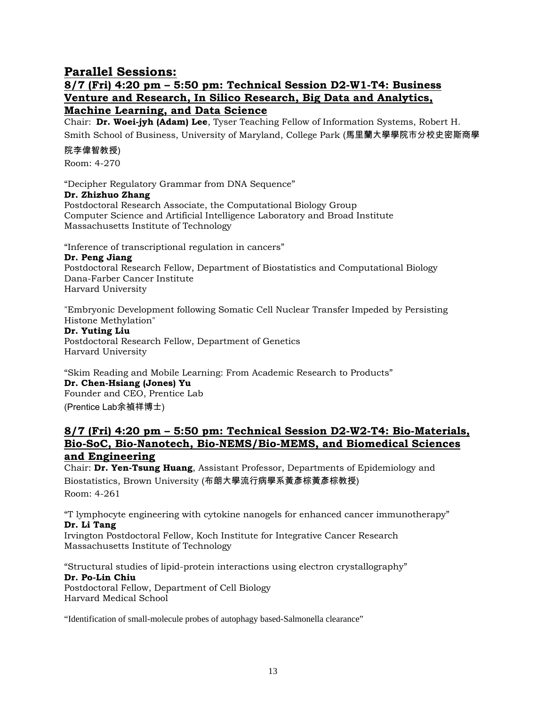## **Parallel Sessions:**

## **8/7 (Fri) 4:20 pm – 5:50 pm: Technical Session D2-W1-T4: Business Venture and Research, In Silico Research, Big Data and Analytics, Machine Learning, and Data Science**

Chair: **Dr. Woei-jyh (Adam) Lee**, Tyser Teaching Fellow of Information Systems, Robert H. Smith School of Business, University of Maryland, College Park (馬里蘭大學學院市分校史密斯商學

#### 院李偉智教授)

Room: 4-270

"Decipher Regulatory Grammar from DNA Sequence"

#### **Dr. Zhizhuo Zhang**

Postdoctoral Research Associate, the Computational Biology Group Computer Science and Artificial Intelligence Laboratory and Broad Institute Massachusetts Institute of Technology

"Inference of transcriptional regulation in cancers"

#### **Dr. Peng Jiang**

Postdoctoral Research Fellow, Department of Biostatistics and Computational Biology Dana-Farber Cancer Institute Harvard University

"Embryonic Development following Somatic Cell Nuclear Transfer Impeded by Persisting Histone Methylation"

#### **Dr. Yuting Liu**

Postdoctoral Research Fellow, Department of Genetics Harvard University

"Skim Reading and Mobile Learning: From Academic Research to Products" **Dr. Chen-Hsiang (Jones) Yu** Founder and CEO, Prentice Lab (Prentice Lab余禎祥博士)

### **8/7 (Fri) 4:20 pm – 5:50 pm: Technical Session D2-W2-T4: Bio-Materials, Bio-SoC, Bio-Nanotech, Bio-NEMS/Bio-MEMS, and Biomedical Sciences and Engineering**

Chair: **Dr. Yen-Tsung Huang**, Assistant Professor, Departments of Epidemiology and Biostatistics, Brown University (布朗大學流行病學系黃彥棕黃彥棕教授) Room: 4-261

"T lymphocyte engineering with cytokine nanogels for enhanced cancer immunotherapy" **Dr. Li Tang**

Irvington Postdoctoral Fellow, Koch Institute for Integrative Cancer Research Massachusetts Institute of Technology

"Structural studies of lipid-protein interactions using electron crystallography" **Dr. Po-Lin Chiu** Postdoctoral Fellow, Department of Cell Biology Harvard Medical School

"Identification of small-molecule probes of autophagy based-Salmonella clearance"